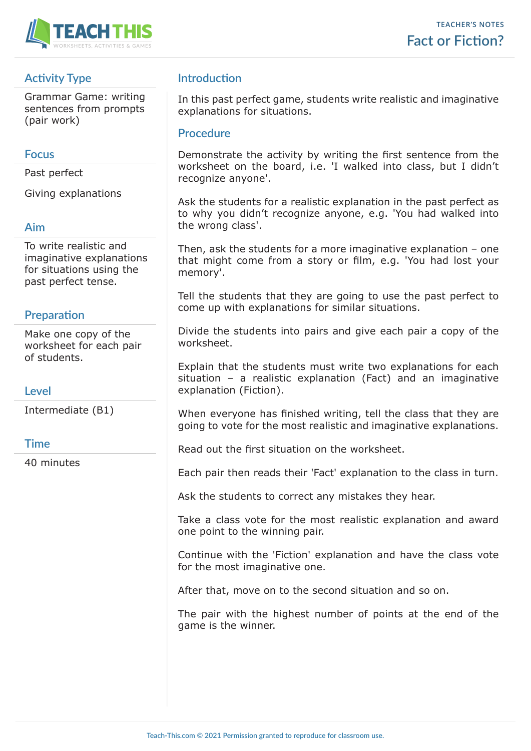

# **Activity Type**

Grammar Game: writing sentences from prompts (pair work)

#### **Focus**

Past perfect

Giving explanations

### **Aim**

To write realistic and imaginative explanations for situations using the past perfect tense.

### **Preparation**

Make one copy of the worksheet for each pair of students.

### **Level**

Intermediate (B1)

#### **Time**

40 minutes

## **Introduction**

In this past perfect game, students write realistic and imaginative explanations for situations.

#### **Procedure**

Demonstrate the activity by writing the first sentence from the worksheet on the board, i.e. 'I walked into class, but I didn't recognize anyone'.

Ask the students for a realistic explanation in the past perfect as to why you didn't recognize anyone, e.g. 'You had walked into the wrong class'.

Then, ask the students for a more imaginative explanation – one that might come from a story or film, e.g. 'You had lost your memory'.

Tell the students that they are going to use the past perfect to come up with explanations for similar situations.

Divide the students into pairs and give each pair a copy of the worksheet.

Explain that the students must write two explanations for each situation – a realistic explanation (Fact) and an imaginative explanation (Fiction).

When everyone has finished writing, tell the class that they are going to vote for the most realistic and imaginative explanations.

Read out the first situation on the worksheet.

Each pair then reads their 'Fact' explanation to the class in turn.

Ask the students to correct any mistakes they hear.

Take a class vote for the most realistic explanation and award one point to the winning pair.

Continue with the 'Fiction' explanation and have the class vote for the most imaginative one.

After that, move on to the second situation and so on.

The pair with the highest number of points at the end of the game is the winner.